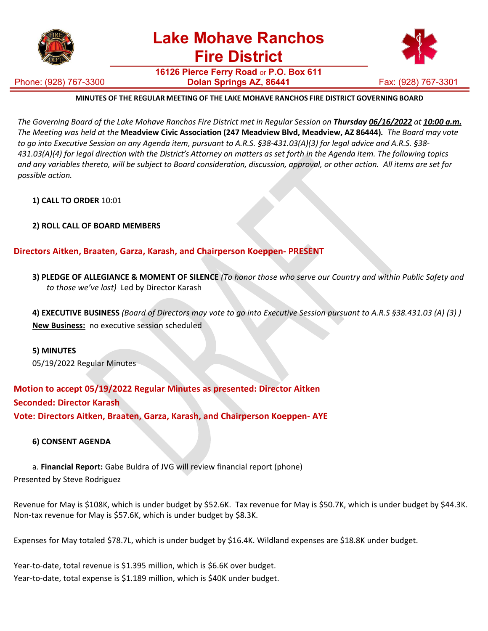

**16126 Pierce Ferry Road** or **P.O. Box 611 Dolan Springs AZ, 86441 Fax: (928) 767-3301** 



### **MINUTES OF THE REGULAR MEETING OF THE LAKE MOHAVE RANCHOS FIRE DISTRICT GOVERNING BOARD**

The Governing Board of the Lake Mohave Ranchos Fire District met in Regular Session on Thursday 06/16/2022 at 10:00 a.m. The Meeting was held at the Meadview Civic Association (247 Meadview Blvd, Meadview, AZ 86444). The Board may vote to go into Executive Session on any Agenda item, pursuant to A.R.S. §38-431.03(A)(3) for legal advice and A.R.S. §38-431.03(A)(4) for legal direction with the District's Attorney on matters as set forth in the Agenda item. The following topics and any variables thereto, will be subject to Board consideration, discussion, approval, or other action. All items are set for *possible action.*

#### **1) CALL TO ORDER** 10:01

# **2) ROLL CALL OF BOARD MEMBERS**

# **Directors Aitken, Braaten, Garza, Karash, and Chairperson Koeppen- PRESENT**

3) PLEDGE OF ALLEGIANCE & MOMENT OF SILENCE (To honor those who serve our Country and within Public Safety and *to those we've lost)* Led by Director Karash

4) EXECUTIVE BUSINESS (Board of Directors may vote to go into Executive Session pursuant to A.R.S §38.431.03 (A) (3)) **New Business:** no executive session scheduled

#### **5) MINUTES**

05/19/2022 Regular Minutes

**Motion to accept 05/19/2022 Regular Minutes as presented: Director Aitken Seconded: Director Karash Vote: Directors Aitken, Braaten, Garza, Karash, and Chairperson Koeppen- AYE**

#### **6) CONSENT AGENDA**

a. **Financial Report:** Gabe Buldra of JVG will review financial report (phone) Presented by Steve Rodriguez

Revenue for May is \$108K, which is under budget by \$52.6K. Tax revenue for May is \$50.7K, which is under budget by \$44.3K. Non-tax revenue for May is \$57.6K, which is under budget by \$8.3K.

Expenses for May totaled \$78.7L, which is under budget by \$16.4K. Wildland expenses are \$18.8K under budget.

Year-to-date, total revenue is \$1.395 million, which is \$6.6K over budget. Year-to-date, total expense is \$1.189 million, which is \$40K under budget.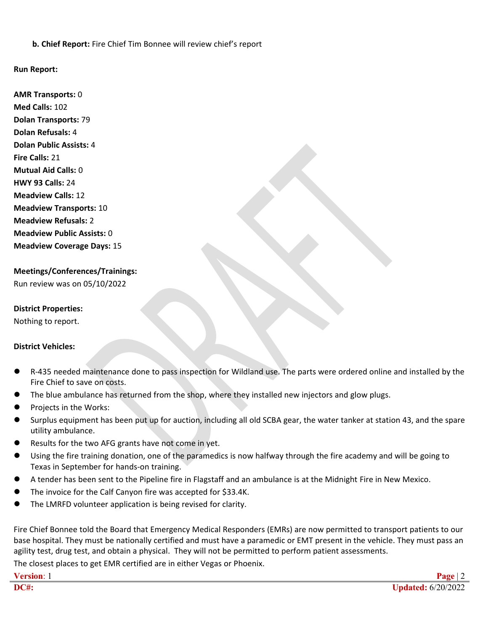**b. Chief Report:** Fire Chief Tim Bonnee will review chief's report

# **Run Report:**

**AMR Transports:** 0 **Med Calls:** 102 **Dolan Transports:**79 **Dolan Refusals:** 4 **Dolan Public Assists:** 4 **Fire Calls:** 21 **Mutual Aid Calls:** 0 **HWY 93 Calls:** 24 **Meadview Calls:** 12 **Meadview Transports:** 10 **Meadview Refusals:** 2 **Meadview Public Assists:** 0 **Meadview Coverage Days:** 15

**Meetings/Conferences/Trainings:** Run review was on 05/10/2022

### **District Properties:**

Nothing to report.

# **District Vehicles:**

- R-435 needed maintenance done to pass inspection for Wildland use. The parts were ordered online and installed by the Fire Chief to save on costs.
- The blue ambulance has returned from the shop, where they installed new injectors and glow plugs.
- Projects in the Works:
- Surplus equipment has been put up for auction, including all old SCBA gear, the water tanker at station 43, and the spare utility ambulance.
- Results for the two AFG grants have not come in yet.
- Using the fire training donation, one of the paramedics is now halfway through the fire academy and will be going to Texas in September for hands-on training.
- A tender has been sent to the Pipeline fire in Flagstaff and an ambulance is atthe Midnight Fire in New Mexico.
- The invoice for the Calf Canyon fire was accepted for \$33.4K.
- The LMRFD volunteer application is being revised for clarity.

Fire Chief Bonnee told the Board that Emergency Medical Responders (EMRs) are now permitted to transport patients to our base hospital. They must be nationally certified and must have a paramedic or EMT present in the vehicle. They must pass an agility test, drug test, and obtain a physical. They will not be permitted to perform patient assessments.

The closest places to get EMR certified are in either Vegas or Phoenix.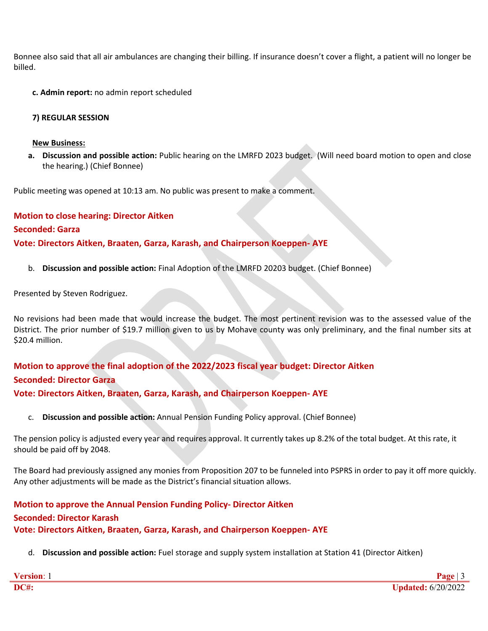Bonnee also said that all air ambulances are changing their billing. If insurance doesn't cover a flight, a patient will no longer be billed.

**c. Admin report:** no admin report scheduled

## **7) REGULAR SESSION**

#### **New Business:**

**a. Discussion and possible action:** Public hearing on the LMRFD 2023 budget. (Will need board motion to open and close the hearing.) (Chief Bonnee)

Public meeting was opened at 10:13 am. No public was present to make a comment.

**Motion to close hearing: Director Aitken Seconded: Garza Vote: Directors Aitken, Braaten, Garza, Karash, and Chairperson Koeppen- AYE**

b. **Discussion and possible action:** Final Adoption of the LMRFD 20203 budget. (Chief Bonnee)

Presented by Steven Rodriguez.

No revisions had been made that would increase the budget. The most pertinent revision was to the assessed value of the District. The prior number of \$19.7 million given to us by Mohave county was only preliminary, and the final number sits at \$20.4 million.

# **Motion to approve the final adoption of the 2022/2023 fiscal year budget: Director Aitken Seconded: Director Garza Vote: Directors Aitken, Braaten, Garza, Karash, and Chairperson Koeppen- AYE**

c. **Discussion and possible action:** Annual Pension Funding Policy approval. (Chief Bonnee)

The pension policy is adjusted every year and requires approval. It currently takes up 8.2% of the total budget. At this rate, it should be paid off by 2048.

The Board had previously assigned any monies from Proposition 207 to be funneled into PSPRS in order to pay it off more quickly. Any other adjustments will be made as the District's financial situation allows.

# **Motion to approve the Annual Pension Funding Policy- Director Aitken Seconded: Director Karash Vote: Directors Aitken, Braaten, Garza, Karash, and Chairperson Koeppen- AYE**

d. **Discussion and possible action:** Fuel storage and supply system installation at Station 41 (Director Aitken)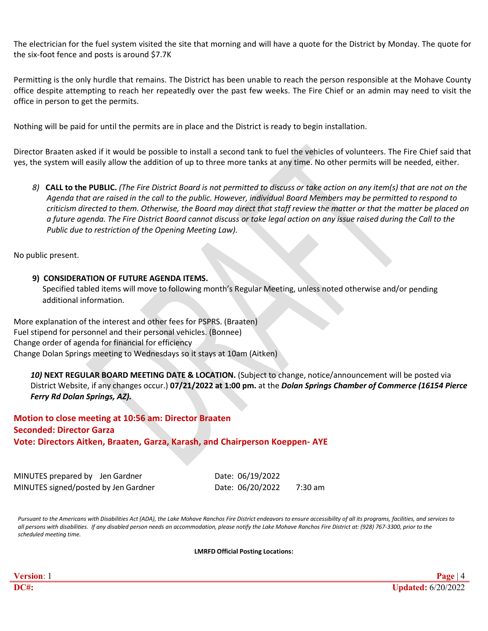The electrician for the fuel system visited the site that morning and will have a quote for the District by Monday. The quote for the six-foot fence and posts is around \$7.7K

Permitting is the only hurdle that remains. The District has been unable to reach the person responsible at the Mohave County office despite attempting to reach her repeatedly over the past few weeks. The Fire Chief or an admin may need to visit the office in person to get the permits.

Nothing will be paid for until the permits are in place and the District is ready to begin installation.

Director Braaten asked if it would be possible to install a second tank to fuel the vehicles of volunteers. The Fire Chief said that yes, the system will easily allow the addition of up to three more tanks at any time. No other permits will be needed, either.

8) CALL to the PUBLIC. (The Fire District Board is not permitted to discuss or take action on any item(s) that are not on the Agenda that are raised in the call to the public. However, individual Board Members may be permitted to respond to criticism directed to them. Otherwise, the Board may direct that staff review the matter or that the matter be placed on a future agenda. The Fire District Board cannot discuss or take legal action on any issue raised during the Call to the *Public due to restriction of the Opening Meeting Law).*

No public present.

#### **9) CONSIDERATION OF FUTURE AGENDA ITEMS.**

Specified tabled items will move to following month's Regular Meeting, unless noted otherwise and/or pending additional information.

More explanation of the interest and other fees for PSPRS. (Braaten) Fuel stipend for personnel and their personal vehicles. (Bonnee) Change order of agenda for financial for efficiency Change Dolan Springs meeting to Wednesdays so it stays at 10am (Aitken)

*10)* **NEXT REGULAR BOARD MEETING DATE & LOCATION.** (Subject to change, notice/announcement will be posted via District Website, if any changes occur.) **07/21/2022 at 1:00 pm.** at the *Dolan Springs Chamber of Commerce (16154 Pierce Ferry Rd Dolan Springs, AZ).*

**Motion to close meeting at 10:56 am: Director Braaten Seconded: Director Garza Vote: Directors Aitken, Braaten, Garza, Karash, and Chairperson Koeppen- AYE**

| MINUTES prepared by Jen Gardner      | Date: 06/19/2022 |         |
|--------------------------------------|------------------|---------|
| MINUTES signed/posted by Jen Gardner | Date: 06/20/2022 | 7:30 am |

Pursuant to the Americans with Disabilities Act (ADA), the Lake Mohave Ranchos Fire District endeavors to ensure accessibility of all its programs, facilities, and services to all persons with disabilities. If any disabled person needs an accommodation, please notify the Lake Mohave Ranchos Fire District at: (928) 767-3300, prior to the *scheduled meeting time.*

**LMRFD Official Posting Locations:**